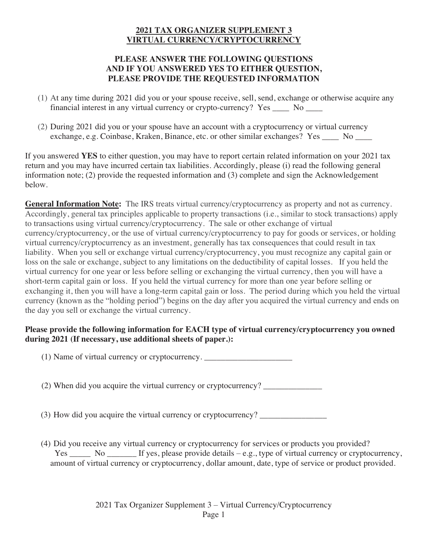## **2021 TAX ORGANIZER SUPPLEMENT 3 VIRTUAL CURRENCY/CRYPTOCURRENCY**

## **PLEASE ANSWER THE FOLLOWING QUESTIONS AND IF YOU ANSWERED YES TO EITHER QUESTION, PLEASE PROVIDE THE REQUESTED INFORMATION**

- (1) At any time during 2021 did you or your spouse receive, sell, send, exchange or otherwise acquire any financial interest in any virtual currency or crypto-currency? Yes \_\_\_\_ No \_\_\_\_
- (2) During 2021 did you or your spouse have an account with a cryptocurrency or virtual currency exchange, e.g. Coinbase, Kraken, Binance, etc. or other similar exchanges? Yes No

If you answered **YES** to either question, you may have to report certain related information on your 2021 tax return and you may have incurred certain tax liabilities. Accordingly, please (i) read the following general information note; (2) provide the requested information and (3) complete and sign the Acknowledgement below.

**General Information Note:** The IRS treats virtual currency/cryptocurrency as property and not as currency. Accordingly, general tax principles applicable to property transactions (i.e., similar to stock transactions) apply to transactions using virtual currency/cryptocurrency. The sale or other exchange of virtual currency/cryptocurrency, or the use of virtual currency/cryptocurrency to pay for goods or services, or holding virtual currency/cryptocurrency as an investment, generally has tax consequences that could result in tax liability. When you sell or exchange virtual currency/cryptocurrency, you must recognize any capital gain or loss on the sale or exchange, subject to any limitations on the deductibility of capital losses. If you held the virtual currency for one year or less before selling or exchanging the virtual currency, then you will have a short-term capital gain or loss. If you held the virtual currency for more than one year before selling or exchanging it, then you will have a long-term capital gain or loss. The period during which you held the virtual currency (known as the "holding period") begins on the day after you acquired the virtual currency and ends on the day you sell or exchange the virtual currency.

## **Please provide the following information for EACH type of virtual currency/cryptocurrency you owned during 2021 (If necessary, use additional sheets of paper.):**

(1) Name of virtual currency or cryptocurrency.

(2) When did you acquire the virtual currency or cryptocurrency?

- (3) How did you acquire the virtual currency or cryptocurrency? \_\_\_\_\_\_\_\_\_\_\_\_\_\_\_\_
- (4) Did you receive any virtual currency or cryptocurrency for services or products you provided? Yes \_\_\_\_\_ No \_\_\_\_\_\_\_ If yes, please provide details – e.g., type of virtual currency or cryptocurrency, amount of virtual currency or cryptocurrency, dollar amount, date, type of service or product provided.